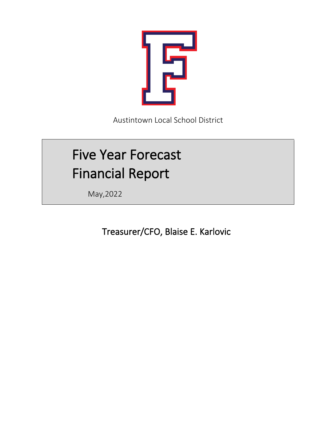

Austintown Local School District

# Five Year Forecast Financial Report

May,2022

Treasurer/CFO, Blaise E. Karlovic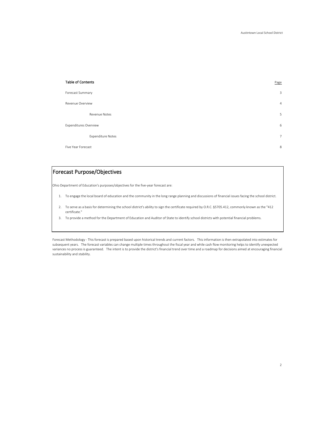| <b>Table of Contents</b>     | Page       |
|------------------------------|------------|
| Forecast Summary             | 3          |
| Revenue Overview             | 4          |
| Revenue Notes                | 5          |
| <b>Expenditures Overview</b> | $\epsilon$ |
| <b>Expenditure Notes</b>     | 7          |
| Five Year Forecast           | 8          |

# Forecast Purpose/Objectives

Ohio Department of Education's purposes/objectives for the five-year forecast are:

- 1. To engage the local board of education and the community in the long range planning and discussions of financial issues facing the school district.
- 2. To serve as a basis for determining the school district's ability to sign the certificate required by O.R.C. §5705.412, commonly known as the "412 certificate."
- 3. To provide a method for the Department of Education and Auditor of State to identify school districts with potential financial problems.

Forecast Methodology - This forecast is prepared based upon historical trends and current factors. This information is then extrapolated into estimates for subsequent years. The forecast variables can change multiple times throughout the fiscal year and while cash flow monitoring helps to identify unexpected variances no process is guaranteed. The intent is to provide the district's financial trend over time and a roadmap for decisions aimed at encouraging financial sustainability and stability.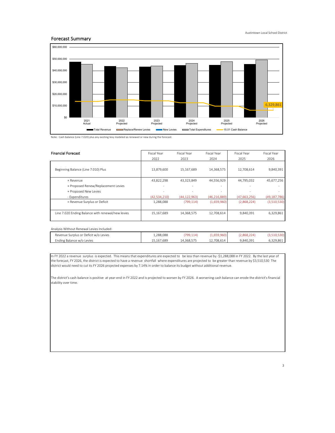# Forecast Summary



Note: Cash balance (Line 7.020) plus any existing levy modeled as renewed or new during the forecast.

| <b>Financial Forecast</b>                         | <b>Fiscal Year</b><br>Fiscal Year |                | Fiscal Year    | <b>Fiscal Year</b> | Fiscal Year    |
|---------------------------------------------------|-----------------------------------|----------------|----------------|--------------------|----------------|
|                                                   | 2022                              | 2023           | 2024           | 2025               | 2026           |
| Beginning Balance (Line 7.010) Plus               | 13.879.600                        | 15.167.689     | 14,368,575     | 12.708.614         | 9,840,391      |
| + Revenue                                         | 43,822,298                        | 43,323,849     | 44,556,929     | 44,795,032         | 45,677,256     |
| + Proposed Renew/Replacement Levies               |                                   |                | ٠              |                    |                |
| + Proposed New Levies                             | $\overline{\phantom{a}}$          |                | ٠              |                    |                |
| - Expenditures                                    | (42,534,210)                      | (44, 122, 963) | (46, 216, 889) | (47,663,256)       | (49, 187, 786) |
| = Revenue Surplus or Deficit                      | 1,288,088                         | (799, 114)     | (1,659,960)    | (2,868,224)        | (3,510,530)    |
| Line 7.020 Ending Balance with renewal/new levies | 15,167,689                        | 14,368,575     | 12,708,614     | 9,840,391          | 6,329,861      |

Analysis Without Renewal Levies Included:

| Revenue Surplus or Deficit w/o Levies | 1.288.088  | 799.114)  | -096.699.7 | 2241<br>2.868.224 |           |
|---------------------------------------|------------|-----------|------------|-------------------|-----------|
| Ending Balance w/o Levies             | 15.167.689 | 4.368.575 | 12.708.614 | 9.840.391         | 6.329.861 |

In FY 2022 a revenue surplus is expected. This means that expenditures are expected to be less than revenue by -\$1,288,088 in FY 2022. By the last year of the forecast, FY 2026, the district is expected to have a revenue shortfall where expenditures are projected to be greater than revenue by \$3,510,530 The district would need to cut its FY 2026 projected expenses by 7.14% in order to balance its budget without additional revenue.

The district's cash balance is positive at year-end in FY 2022 and is projected to worsen by FY 2026. A worsening cash balance can erode the district's financial stability over time.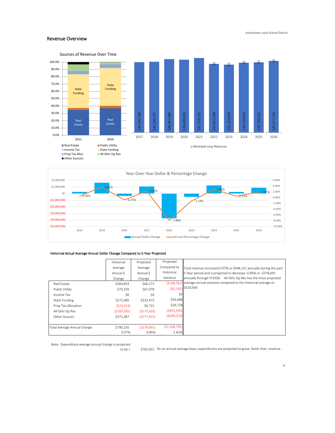## Revenue Overview





# Historical Actual Average Annual Dollar Change Compared to 5-Year Projected

|                             | Historical    | Projected   | Projected      |                                                                     |
|-----------------------------|---------------|-------------|----------------|---------------------------------------------------------------------|
|                             | Average       | Average     | Compared to    | Total revenue increased 0.97% or \$448,152 annually during the past |
|                             | Annual S      | Annual \$   | Historical     | 5-Year period and is projected to decrease -0.85% or -\$378,691     |
|                             | Change        | Change      | Variance       | annually through FY2026. All Othr Op Rev has the most projected     |
| Real Estate                 | \$264,853     | \$66,272    | ( \$198,581    | average annual variance compared to the historical average at -     |
| Public Utility              | \$73,259      | \$67,078    |                | $(56,181)$ \$510,936                                                |
| Income Tax                  | \$0           | \$0         | \$0            |                                                                     |
| <b>State Funding</b>        | \$272,985     | \$332,473   | \$59,488       |                                                                     |
| Prop Tax Allocation         | (523,014)     | \$6,715     | \$29,728       |                                                                     |
| All Othr Op Rev             | ( \$169, 365) | (5573,305)  | (5403,940)     |                                                                     |
| Other Sources               | \$371.387     | (5277, 923) | (5649,310)     |                                                                     |
|                             |               |             |                |                                                                     |
| Total Average Annual Change | \$790,105     | (5378, 691) | ( \$1,168,795) |                                                                     |
|                             | 0.97%         | $-0.85%$    | $-1.82%$       |                                                                     |

Note: Expenditure average annual change is projected

to be > \$702,922 On an annual average basis, expenditures are projected to grow faster than revenue.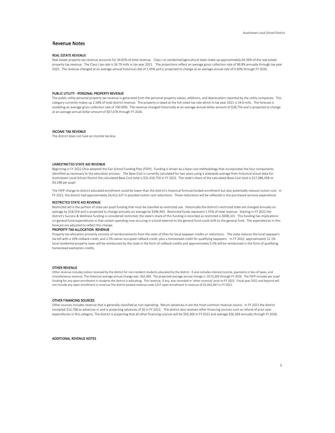## Revenue Notes

## REAL ESTATE REVENUE

Real estate property tax revenue accounts for 34.65% of total revenue. Class I or residential/agricultural taxes make up approximately 64.36% of the real estate property tax revenue. The Class I tax rate is 26.79 mills in tax year 2021. The projections reflect an average gross collection rate of 99.8% annually through tax year 2025. The revenue changed at an average annual historical rate of 1.45% and is projected to change at an average annual rate of 0.40% through FY 2026.

#### PUBLIC UTILITY - PERSONAL PROPERTY REVENUE

The public utility personal property tax revenue is generated from the personal property values, additions, and depreciation reported by the utility companies. This category currently makes up 2.58% of total district revenue. The property is taxed at the full voted tax rate which in tax year 2021 is 54.6 mills. The forecast is modeling an average gross collection rate of 100.00%. The revenue changed historically at an average annual dollar amount of \$28,756 and is projected to change at an average annual dollar amount of \$67,078 through FY 2026.

## INCOME TAX REVENUE

The district does not have an income tax levy.

#### UNRESTRICTED STATE AID REVENUE

Beginning in FY 2022 Ohio adopted the Fair School Funding Plan (FSFP). Funding is driven by a base cost methodology that incorporates the four components identified as necessary to the education process. The Base Cost is currently calculated for two years using a statewide average from historical actual data.For Austintown Local School District the calculated Base Cost total is \$31,416,750 in FY 2022. The state's share of the calculated Base Cost total is \$17,086,458 or \$4,198 per pupil.

The FSFP change to district educated enrollment could be lower than the district's historical formula funded enrollment but also potentially reduces tuition cost. In FY 2021, the district had approximately \$4,412,337 in possible tuition cost reductions. These reductions will be reflected in the purchased services expenditure

# RESTRICTED STATE AID REVENUE

Restricted aid is the portion of state per pupil funding that must be classifed as restricted use. Historically the district's restricted state aid changed annually on average by \$18,554 and is projected to change annually on average by \$396,943. Restricted funds represent 1.55% of total revenue. Starting in FY 2022 the district's Success & Wellness funding is considered restricted, the state's share of this funding is recorded as restricted is \$698,101. This funding has implications on general fund expenditures in that certain spending now occuring in a fund external to the general fund could shift to the general fund. The expenditures in this forecast are adjusted to reflect this change.

#### PROPERTY TAX ALLOCATION REVENUE

Property tax allocation primarily consists of reimbursements from the state of Ohio for local taxpayer credits or reductions. The state reduces the local taxpayer's tax bill with a 10% rollback credit, and 2.5% owner-occupied rollback credit, plus a homestead credit for qualifying taxpayers. In FY 2022, approximately 12.1% local residential property taxes will be reimbursed by the state in the form of rollback credits and approximately 5.5% will be reimbursed in the form of qualifying homestead exemption credits.

## OTHER REVENUE

Other revenue includes tuition received by the district for non-resident students educated by the district. It also includes interest income, payments in lieu of taxes, and miscellaneous revenue. The historical average annual change was -\$62,369. The projected average annual change is -\$573,305 through FY 2026. The FSFP includes per pupil funding for any open enrollment in students the district is educating. This revenue, if any, was recorded in 'other revenue' prior to FY 2022. Fiscal year 2022 and beyond will not include any open enrollment in revenue.The district posted revenue code 1227 open enrollment in revenue of \$3,033,467 in FY 2021.

#### OTHER FINANCING SOURCES

Other sources includes revenue that is generally classified as non-operating. Return advances-in are the most common revenue source. In FY 2021 the district receipted \$12,708 as advances-in and is projecting advances of \$0 in FY 2022. The district also receives other financing sources such as refund of prior year expenditures in this category. The district is projecting that all other financing sources will be \$56,369 in FY 2022 and average \$56,369 annually through FY 2026.

ADDITIONAL REVENUE NOTES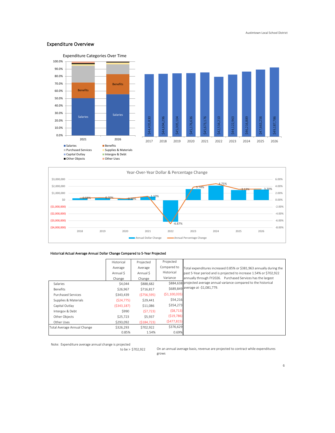# Expenditure Overview





# Historical Actual Average Annual Dollar Change Compared to 5-Year Projected

|                             | Historical  | Projected     | Projected      |                                                                        |
|-----------------------------|-------------|---------------|----------------|------------------------------------------------------------------------|
|                             | Average     | Average       | Compared to    | Total expenditures increased 0.85% or \$381,963 annually during the    |
|                             | Annual S    | Annual S      | Historical     | past 5-Year period and is projected to increase 1.54% or \$702,922     |
|                             | Change      | Change        | Variance       | annually through FY2026. Purchased Services has the largest            |
| Salaries                    | \$4,044     | \$888,682     |                | \$884,638 projected average annual variance compared to the historical |
| Benefits                    | \$26,967    | \$716,817     |                | \$689,849 average at -\$1,081,779.                                     |
| <b>Purchased Services</b>   | \$343,439   | ( \$756, 595) | ( \$1,100,035) |                                                                        |
| Supplies & Materials        | (S24, 775)  | \$29,441      | \$54,216       |                                                                        |
| Capital Outlay              | (5343, 187) | \$11,086      | \$354,273      |                                                                        |
| Intergov & Debt             | \$990       | (57, 723)     | (58, 713)      |                                                                        |
| Other Objects               | \$25,723    | \$5,937       | (519, 786)     |                                                                        |
| Other Uses                  | \$293.092   | (5184.723)    | (5477, 815)    |                                                                        |
| Total Average Annual Change | \$326,293   | \$702,922     | \$376,629      |                                                                        |
|                             | 0.85%       | 1.54%         | 0.69%          |                                                                        |

Note: Expenditure average annual change is projected

to be > \$702,922

On an annual average basis, revenue are projected to contract while expenditures grows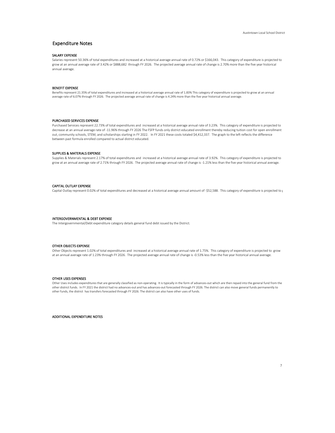## Expenditure Notes

## SALARY EXPENSE

Salaries represent 50.36% of total expenditures and increased at a historical average annual rate of 0.72% or \$166,043. This category of expenditure is projected to grow at an annual average rate of 3.42% or \$888,682 through FY 2026. The projected average annual rate of change is 2.70% more than the five year historical annual average.

## BENEFIT EXPENSE

Benefits represent 21.35% of total expenditures and increased at a historical average annual rate of 1.83% This category of expenditure is projected to grow at an annual average rate of 6.07% through FY 2026. The projected average annual rate of change is 4.24% more than the five year historical annual average.

#### PURCHASED SERVICES EXPENSE

Purchased Services represent 22.73% of total expenditures and increased at a historical average annual rate of 3.23%. This category of expenditure is projected to decrease at an annual average rate of -11.96% through FY 2026 The FSFP funds only district educated enrollment thereby reducing tuition cost for open enrollment out, community schools, STEM, and scholarships starting in FY 2022. In FY 2021 these costs totaled \$4,412,337. The graph to the left reflects the difference between past formula enrolled compared to actual district educated.

## SUPPLIES & MATERIALS EXPENSE

Supplies & Materials represent 2.17% of total expenditures and increased at a historical average annual rate of 3.92%. This category of expenditure is projected to grow at an annual average rate of 2.71% through FY 2026. The projected average annual rate of change is -1.21% less than the five year historical annual average.

### CAPITAL OUTLAY EXPENSE

Capital Outlay represent 0.02% of total expenditures and decreased at a historical average annual amount of -\$52,588. This category of expenditure is projected to  $\epsilon$ 

#### INTERGOVERNMENTAL & DEBT EXPENSE

The Intergovernmental/Debt expenditure category details general fund debt issued by the District.

#### OTHER OBJECTS EXPENSE

Other Objects represent 1.02% of total expenditures and increased at a historical average annual rate of 1.75%. This category of expenditure is projected to grow at an annual average rate of 1.23% through FY 2026. The projected average annual rate of change is -0.53% less than the five year historical annual average.

### OTHER USES EXPENSES

Other Uses includes expenditures that are generally classified as non-operating. It is typically in the form of advances-out which are then repaid into the general fund from the other district funds. In FY 2021 the district had no advances-out and has advances-out forecasted through FY 2026. The district can also move general funds permanently to other funds, the district has transfers forecasted through FY 2026. The district can also have other uses of funds.

ADDITIONAL EXPENDITURE NOTES